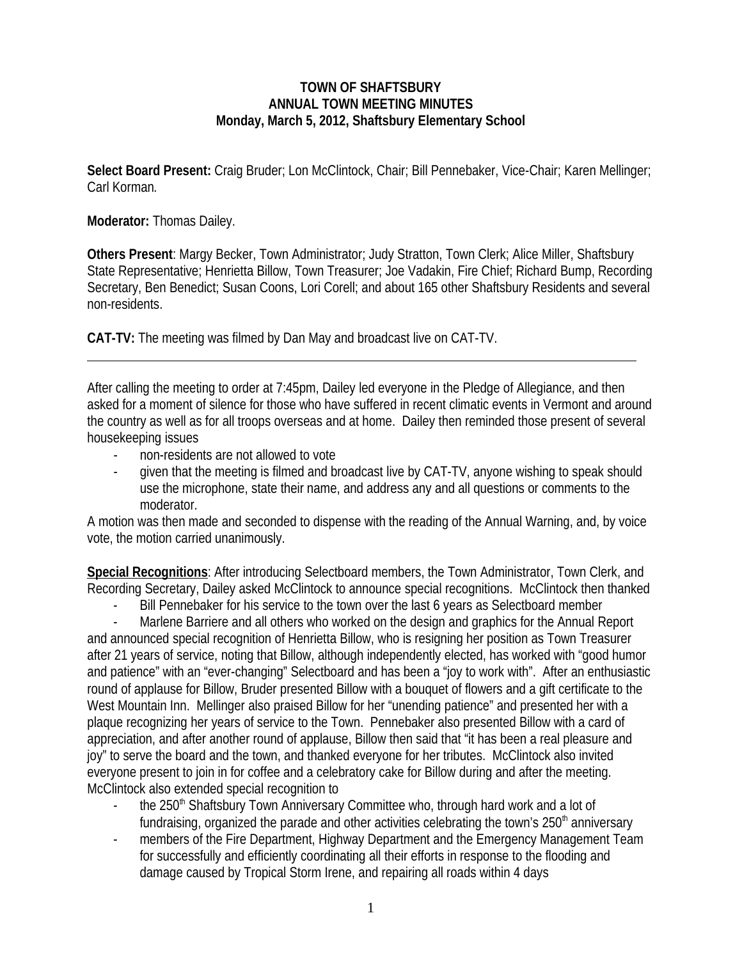## **TOWN OF SHAFTSBURY ANNUAL TOWN MEETING MINUTES Monday, March 5, 2012, Shaftsbury Elementary School**

**Select Board Present:** Craig Bruder; Lon McClintock, Chair; Bill Pennebaker, Vice-Chair; Karen Mellinger; Carl Korman*.*

## **Moderator:** Thomas Dailey.

**Others Present**: Margy Becker, Town Administrator; Judy Stratton, Town Clerk; Alice Miller, Shaftsbury State Representative; Henrietta Billow, Town Treasurer; Joe Vadakin, Fire Chief; Richard Bump, Recording Secretary, Ben Benedict; Susan Coons, Lori Corell; and about 165 other Shaftsbury Residents and several non-residents.

**CAT-TV:** The meeting was filmed by Dan May and broadcast live on CAT-TV.

After calling the meeting to order at 7:45pm, Dailey led everyone in the Pledge of Allegiance, and then asked for a moment of silence for those who have suffered in recent climatic events in Vermont and around the country as well as for all troops overseas and at home. Dailey then reminded those present of several housekeeping issues

- non-residents are not allowed to vote
- given that the meeting is filmed and broadcast live by CAT-TV, anyone wishing to speak should use the microphone, state their name, and address any and all questions or comments to the moderator.

A motion was then made and seconded to dispense with the reading of the Annual Warning, and, by voice vote, the motion carried unanimously.

**Special Recognitions**: After introducing Selectboard members, the Town Administrator, Town Clerk, and Recording Secretary, Dailey asked McClintock to announce special recognitions. McClintock then thanked

Bill Pennebaker for his service to the town over the last 6 years as Selectboard member

Marlene Barriere and all others who worked on the design and graphics for the Annual Report and announced special recognition of Henrietta Billow, who is resigning her position as Town Treasurer after 21 years of service, noting that Billow, although independently elected, has worked with "good humor and patience" with an "ever-changing" Selectboard and has been a "joy to work with". After an enthusiastic round of applause for Billow, Bruder presented Billow with a bouquet of flowers and a gift certificate to the West Mountain Inn. Mellinger also praised Billow for her "unending patience" and presented her with a plaque recognizing her years of service to the Town. Pennebaker also presented Billow with a card of appreciation, and after another round of applause, Billow then said that "it has been a real pleasure and joy" to serve the board and the town, and thanked everyone for her tributes. McClintock also invited everyone present to join in for coffee and a celebratory cake for Billow during and after the meeting. McClintock also extended special recognition to

- the 250<sup>th</sup> Shaftsbury Town Anniversary Committee who, through hard work and a lot of fundraising, organized the parade and other activities celebrating the town's  $250<sup>th</sup>$  anniversary
- members of the Fire Department, Highway Department and the Emergency Management Team for successfully and efficiently coordinating all their efforts in response to the flooding and damage caused by Tropical Storm Irene, and repairing all roads within 4 days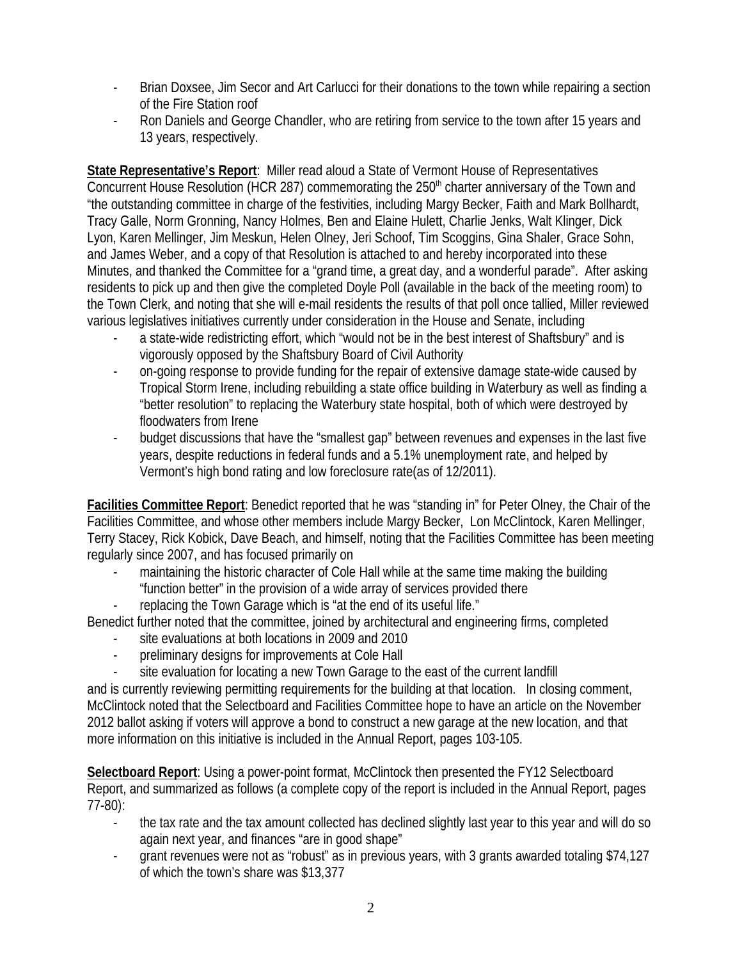- Brian Doxsee, Jim Secor and Art Carlucci for their donations to the town while repairing a section of the Fire Station roof
- Ron Daniels and George Chandler, who are retiring from service to the town after 15 years and 13 years, respectively.

**State Representative's Report**: Miller read aloud a State of Vermont House of Representatives Concurrent House Resolution (HCR 287) commemorating the  $250<sup>th</sup>$  charter anniversary of the Town and "the outstanding committee in charge of the festivities, including Margy Becker, Faith and Mark Bollhardt, Tracy Galle, Norm Gronning, Nancy Holmes, Ben and Elaine Hulett, Charlie Jenks, Walt Klinger, Dick Lyon, Karen Mellinger, Jim Meskun, Helen Olney, Jeri Schoof, Tim Scoggins, Gina Shaler, Grace Sohn, and James Weber, and a copy of that Resolution is attached to and hereby incorporated into these Minutes, and thanked the Committee for a "grand time, a great day, and a wonderful parade". After asking residents to pick up and then give the completed Doyle Poll (available in the back of the meeting room) to the Town Clerk, and noting that she will e-mail residents the results of that poll once tallied, Miller reviewed various legislatives initiatives currently under consideration in the House and Senate, including

- a state-wide redistricting effort, which "would not be in the best interest of Shaftsbury" and is vigorously opposed by the Shaftsbury Board of Civil Authority
- on-going response to provide funding for the repair of extensive damage state-wide caused by Tropical Storm Irene, including rebuilding a state office building in Waterbury as well as finding a "better resolution" to replacing the Waterbury state hospital, both of which were destroyed by floodwaters from Irene
- budget discussions that have the "smallest gap" between revenues and expenses in the last five years, despite reductions in federal funds and a 5.1% unemployment rate, and helped by Vermont's high bond rating and low foreclosure rate(as of 12/2011).

**Facilities Committee Report**: Benedict reported that he was "standing in" for Peter Olney, the Chair of the Facilities Committee, and whose other members include Margy Becker, Lon McClintock, Karen Mellinger, Terry Stacey, Rick Kobick, Dave Beach, and himself, noting that the Facilities Committee has been meeting regularly since 2007, and has focused primarily on

- maintaining the historic character of Cole Hall while at the same time making the building "function better" in the provision of a wide array of services provided there
- replacing the Town Garage which is "at the end of its useful life."

Benedict further noted that the committee, joined by architectural and engineering firms, completed

- site evaluations at both locations in 2009 and 2010
- preliminary designs for improvements at Cole Hall
- site evaluation for locating a new Town Garage to the east of the current landfill

and is currently reviewing permitting requirements for the building at that location. In closing comment, McClintock noted that the Selectboard and Facilities Committee hope to have an article on the November 2012 ballot asking if voters will approve a bond to construct a new garage at the new location, and that more information on this initiative is included in the Annual Report, pages 103-105.

**Selectboard Report**: Using a power-point format, McClintock then presented the FY12 Selectboard Report, and summarized as follows (a complete copy of the report is included in the Annual Report, pages 77-80):

- the tax rate and the tax amount collected has declined slightly last year to this year and will do so again next year, and finances "are in good shape"
- grant revenues were not as "robust" as in previous years, with 3 grants awarded totaling \$74,127 of which the town's share was \$13,377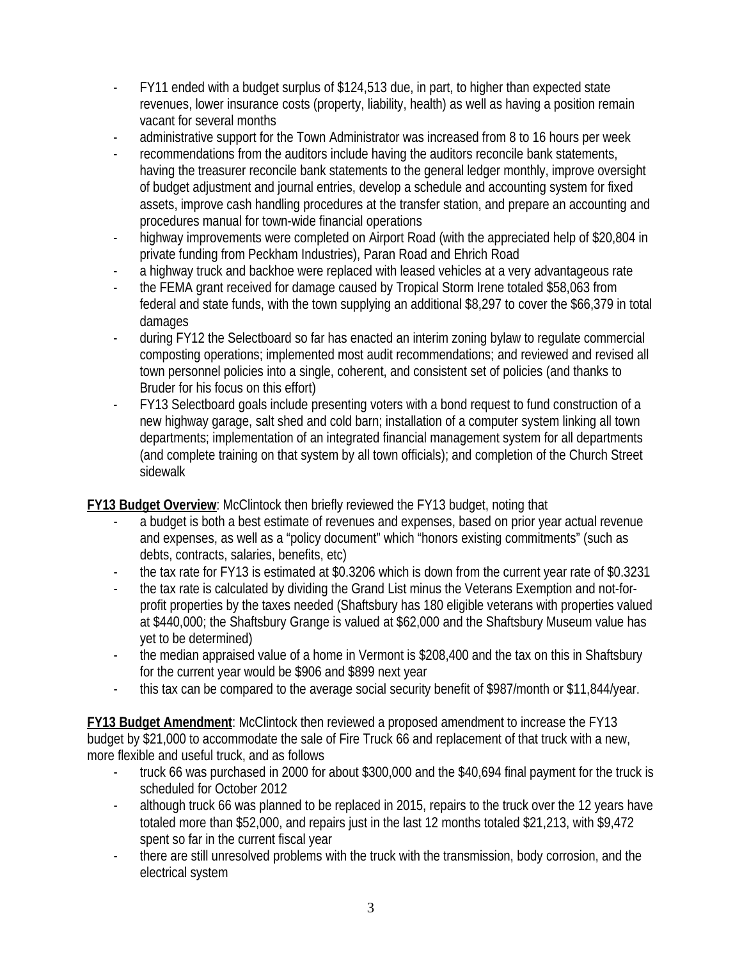- FY11 ended with a budget surplus of \$124,513 due, in part, to higher than expected state revenues, lower insurance costs (property, liability, health) as well as having a position remain vacant for several months
- administrative support for the Town Administrator was increased from 8 to 16 hours per week
- recommendations from the auditors include having the auditors reconcile bank statements, having the treasurer reconcile bank statements to the general ledger monthly, improve oversight of budget adjustment and journal entries, develop a schedule and accounting system for fixed assets, improve cash handling procedures at the transfer station, and prepare an accounting and procedures manual for town-wide financial operations
- highway improvements were completed on Airport Road (with the appreciated help of \$20,804 in private funding from Peckham Industries), Paran Road and Ehrich Road
- a highway truck and backhoe were replaced with leased vehicles at a very advantageous rate
- the FEMA grant received for damage caused by Tropical Storm Irene totaled \$58,063 from federal and state funds, with the town supplying an additional \$8,297 to cover the \$66,379 in total damages
- during FY12 the Selectboard so far has enacted an interim zoning bylaw to regulate commercial composting operations; implemented most audit recommendations; and reviewed and revised all town personnel policies into a single, coherent, and consistent set of policies (and thanks to Bruder for his focus on this effort)
- FY13 Selectboard goals include presenting voters with a bond request to fund construction of a new highway garage, salt shed and cold barn; installation of a computer system linking all town departments; implementation of an integrated financial management system for all departments (and complete training on that system by all town officials); and completion of the Church Street sidewalk

## **FY13 Budget Overview:** McClintock then briefly reviewed the FY13 budget, noting that

- a budget is both a best estimate of revenues and expenses, based on prior year actual revenue and expenses, as well as a "policy document" which "honors existing commitments" (such as debts, contracts, salaries, benefits, etc)
- the tax rate for FY13 is estimated at \$0.3206 which is down from the current year rate of \$0.3231
- the tax rate is calculated by dividing the Grand List minus the Veterans Exemption and not-forprofit properties by the taxes needed (Shaftsbury has 180 eligible veterans with properties valued at \$440,000; the Shaftsbury Grange is valued at \$62,000 and the Shaftsbury Museum value has yet to be determined)
- the median appraised value of a home in Vermont is \$208,400 and the tax on this in Shaftsbury for the current year would be \$906 and \$899 next year
- this tax can be compared to the average social security benefit of \$987/month or \$11,844/year.

**FY13 Budget Amendment**: McClintock then reviewed a proposed amendment to increase the FY13 budget by \$21,000 to accommodate the sale of Fire Truck 66 and replacement of that truck with a new, more flexible and useful truck, and as follows

- truck 66 was purchased in 2000 for about \$300,000 and the \$40,694 final payment for the truck is scheduled for October 2012
- although truck 66 was planned to be replaced in 2015, repairs to the truck over the 12 years have totaled more than \$52,000, and repairs just in the last 12 months totaled \$21,213, with \$9,472 spent so far in the current fiscal year
- there are still unresolved problems with the truck with the transmission, body corrosion, and the electrical system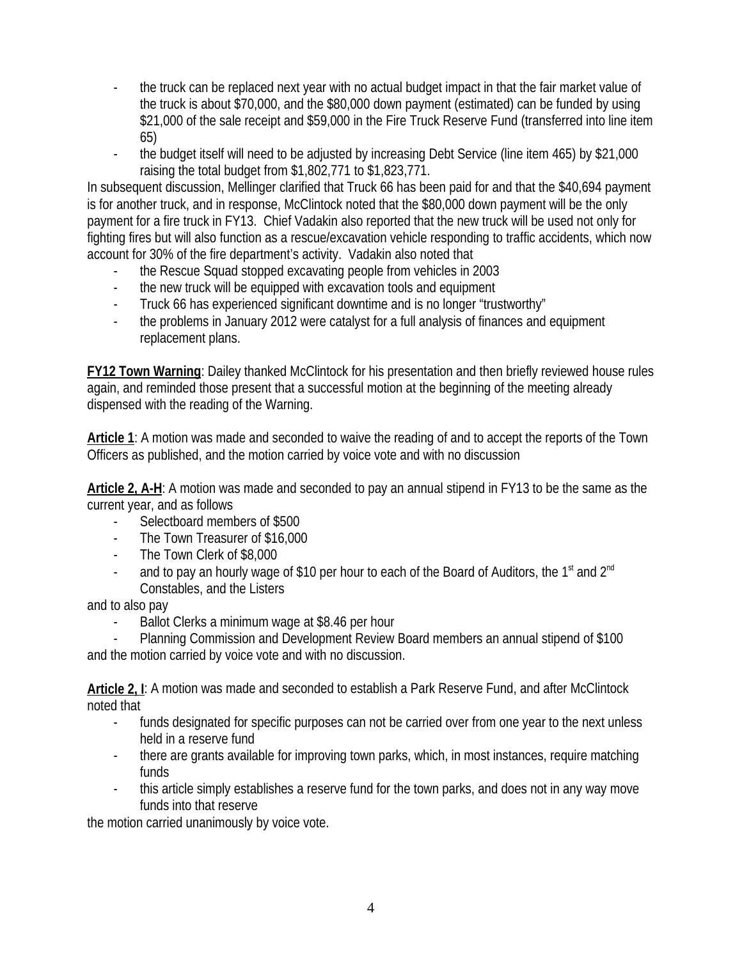- the truck can be replaced next year with no actual budget impact in that the fair market value of the truck is about \$70,000, and the \$80,000 down payment (estimated) can be funded by using \$21,000 of the sale receipt and \$59,000 in the Fire Truck Reserve Fund (transferred into line item 65)
- the budget itself will need to be adjusted by increasing Debt Service (line item 465) by \$21,000 raising the total budget from \$1,802,771 to \$1,823,771.

In subsequent discussion, Mellinger clarified that Truck 66 has been paid for and that the \$40,694 payment is for another truck, and in response, McClintock noted that the \$80,000 down payment will be the only payment for a fire truck in FY13. Chief Vadakin also reported that the new truck will be used not only for fighting fires but will also function as a rescue/excavation vehicle responding to traffic accidents, which now account for 30% of the fire department's activity. Vadakin also noted that

- the Rescue Squad stopped excavating people from vehicles in 2003
- the new truck will be equipped with excavation tools and equipment
- Truck 66 has experienced significant downtime and is no longer "trustworthy"
- the problems in January 2012 were catalyst for a full analysis of finances and equipment replacement plans.

**FY12 Town Warning**: Dailey thanked McClintock for his presentation and then briefly reviewed house rules again, and reminded those present that a successful motion at the beginning of the meeting already dispensed with the reading of the Warning.

**Article 1**: A motion was made and seconded to waive the reading of and to accept the reports of the Town Officers as published, and the motion carried by voice vote and with no discussion

**Article 2, A-H**: A motion was made and seconded to pay an annual stipend in FY13 to be the same as the current year, and as follows

- Selectboard members of \$500
- The Town Treasurer of \$16,000
- The Town Clerk of \$8,000
- and to pay an hourly wage of \$10 per hour to each of the Board of Auditors, the  $1<sup>st</sup>$  and  $2<sup>nd</sup>$ Constables, and the Listers

and to also pay

- Ballot Clerks a minimum wage at \$8.46 per hour
- Planning Commission and Development Review Board members an annual stipend of \$100 and the motion carried by voice vote and with no discussion.

**Article 2, I**: A motion was made and seconded to establish a Park Reserve Fund, and after McClintock noted that

- funds designated for specific purposes can not be carried over from one year to the next unless held in a reserve fund
- there are grants available for improving town parks, which, in most instances, require matching funds
- this article simply establishes a reserve fund for the town parks, and does not in any way move funds into that reserve

the motion carried unanimously by voice vote.